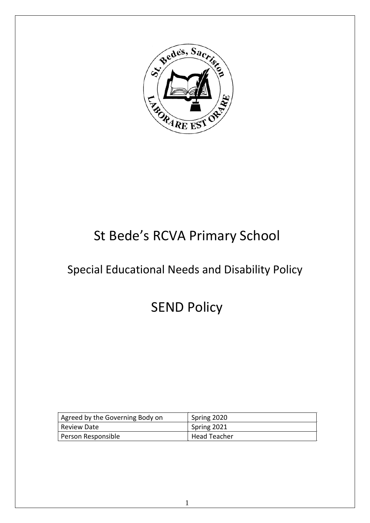

# St Bede's RCVA Primary School

# Special Educational Needs and Disability Policy

# SEND Policy

| Agreed by the Governing Body on | Spring 2020         |
|---------------------------------|---------------------|
| Review Date                     | Spring 2021         |
| Person Responsible              | <b>Head Teacher</b> |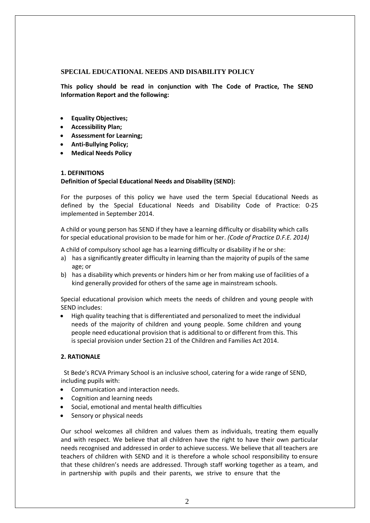## **SPECIAL EDUCATIONAL NEEDS AND DISABILITY POLICY**

**This policy should be read in conjunction with The Code of Practice, The SEND Information Report and the following:** 

- **Equality Objectives;**
- **Accessibility Plan;**
- **Assessment for Learning;**
- **Anti-Bullying Policy;**
- **Medical Needs Policy**

## **1. DEFINITIONS**

# **Definition of Special Educational Needs and Disability (SEND):**

For the purposes of this policy we have used the term Special Educational Needs as defined by the Special Educational Needs and Disability Code of Practice: 0-25 implemented in September 2014.

A child or young person has SEND if they have a learning difficulty or disability which calls for special educational provision to be made for him or her. *(Code of Practice D.F.E. 2014)* 

A child of compulsory school age has a learning difficulty or disability if he or she:

- a) has a significantly greater difficulty in learning than the majority of pupils of the same age; or
- b) has a disability which prevents or hinders him or her from making use of facilities of a kind generally provided for others of the same age in mainstream schools.

Special educational provision which meets the needs of children and young people with SEND includes:

• High quality teaching that is differentiated and personalized to meet the individual needs of the majority of children and young people. Some children and young people need educational provision that is additional to or different from this. This is special provision under Section 21 of the Children and Families Act 2014.

## **2. RATIONALE**

 St Bede's RCVA Primary School is an inclusive school, catering for a wide range of SEND, including pupils with:

- Communication and interaction needs.
- Cognition and learning needs
- Social, emotional and mental health difficulties
- Sensory or physical needs

Our school welcomes all children and values them as individuals, treating them equally and with respect. We believe that all children have the right to have their own particular needs recognised and addressed in order to achieve success. We believe that all teachers are teachers of children with SEND and it is therefore a whole school responsibility to ensure that these children's needs are addressed. Through staff working together as a team, and in partnership with pupils and their parents, we strive to ensure that the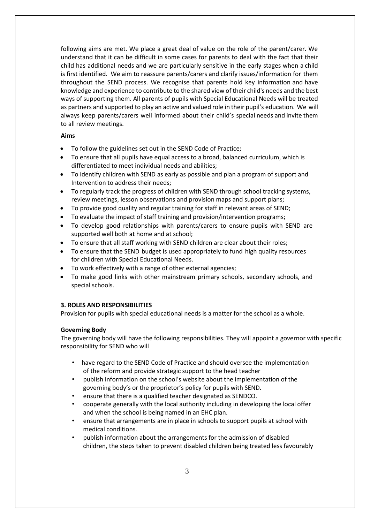following aims are met. We place a great deal of value on the role of the parent/carer. We understand that it can be difficult in some cases for parents to deal with the fact that their child has additional needs and we are particularly sensitive in the early stages when a child is first identified. We aim to reassure parents/carers and clarify issues/information for them throughout the SEND process. We recognise that parents hold key information and have knowledge and experience to contribute to the shared view of their child's needs and the best ways of supporting them. All parents of pupils with Special Educational Needs will be treated as partners and supported to play an active and valued role in their pupil's education. We will always keep parents/carers well informed about their child's special needs and invite them to all review meetings.

#### **Aims**

- To follow the guidelines set out in the SEND Code of Practice;
- To ensure that all pupils have equal access to a broad, balanced curriculum, which is differentiated to meet individual needs and abilities;
- To identify children with SEND as early as possible and plan a program of support and Intervention to address their needs;
- To regularly track the progress of children with SEND through school tracking systems, review meetings, lesson observations and provision maps and support plans;
- To provide good quality and regular training for staff in relevant areas of SEND;
- To evaluate the impact of staff training and provision/intervention programs;
- To develop good relationships with parents/carers to ensure pupils with SEND are supported well both at home and at school;
- To ensure that all staff working with SEND children are clear about their roles;
- To ensure that the SEND budget is used appropriately to fund high quality resources for children with Special Educational Needs.
- To work effectively with a range of other external agencies;
- To make good links with other mainstream primary schools, secondary schools, and special schools.

#### **3. ROLES AND RESPONSIBILITIES**

Provision for pupils with special educational needs is a matter for the school as a whole.

#### **Governing Body**

The governing body will have the following responsibilities. They will appoint a governor with specific responsibility for SEND who will

- have regard to the SEND Code of Practice and should oversee the implementation of the reform and provide strategic support to the head teacher
- publish information on the school's website about the implementation of the governing body's or the proprietor's policy for pupils with SEND.
- ensure that there is a qualified teacher designated as SENDCO.
- cooperate generally with the local authority including in developing the local offer and when the school is being named in an EHC plan.
- ensure that arrangements are in place in schools to support pupils at school with medical conditions.
- publish information about the arrangements for the admission of disabled children, the steps taken to prevent disabled children being treated less favourably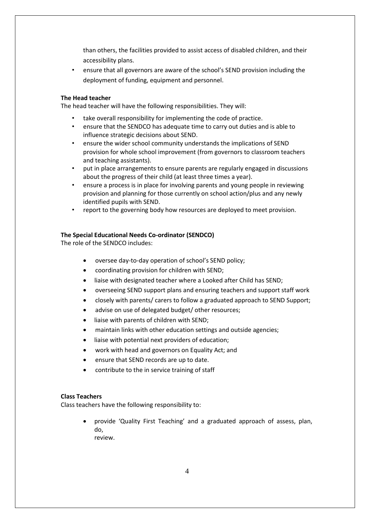than others, the facilities provided to assist access of disabled children, and their accessibility plans.

• ensure that all governors are aware of the school's SEND provision including the deployment of funding, equipment and personnel.

#### **The Head teacher**

The head teacher will have the following responsibilities. They will:

- take overall responsibility for implementing the code of practice.
- ensure that the SENDCO has adequate time to carry out duties and is able to influence strategic decisions about SEND.
- ensure the wider school community understands the implications of SEND provision for whole school improvement (from governors to classroom teachers and teaching assistants).
- put in place arrangements to ensure parents are regularly engaged in discussions about the progress of their child (at least three times a year).
- ensure a process is in place for involving parents and young people in reviewing provision and planning for those currently on school action/plus and any newly identified pupils with SEND.
- report to the governing body how resources are deployed to meet provision.

#### **The Special Educational Needs Co-ordinator (SENDCO)**

The role of the SENDCO includes:

- oversee day-to-day operation of school's SEND policy;
- coordinating provision for children with SEND;
- liaise with designated teacher where a Looked after Child has SEND;
- overseeing SEND support plans and ensuring teachers and support staff work
- closely with parents/ carers to follow a graduated approach to SEND Support;
- advise on use of delegated budget/ other resources;
- liaise with parents of children with SEND;
- maintain links with other education settings and outside agencies;
- liaise with potential next providers of education;
- work with head and governors on Equality Act; and
- ensure that SEND records are up to date.
- contribute to the in service training of staff

## **Class Teachers**

Class teachers have the following responsibility to:

• provide 'Quality First Teaching' and a graduated approach of assess, plan, do, review.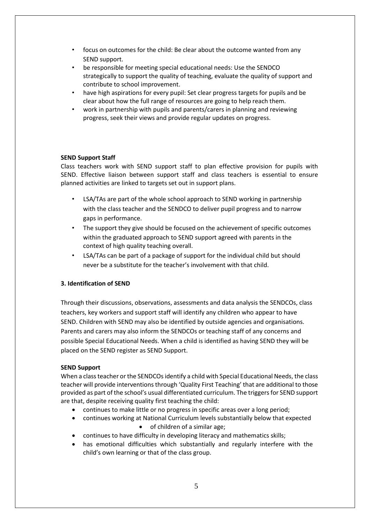- focus on outcomes for the child: Be clear about the outcome wanted from any SEND support.
- be responsible for meeting special educational needs: Use the SENDCO strategically to support the quality of teaching, evaluate the quality of support and contribute to school improvement.
- have high aspirations for every pupil: Set clear progress targets for pupils and be clear about how the full range of resources are going to help reach them.
- work in partnership with pupils and parents/carers in planning and reviewing progress, seek their views and provide regular updates on progress.

## **SEND Support Staff**

Class teachers work with SEND support staff to plan effective provision for pupils with SEND. Effective liaison between support staff and class teachers is essential to ensure planned activities are linked to targets set out in support plans.

- LSA/TAs are part of the whole school approach to SEND working in partnership with the class teacher and the SENDCO to deliver pupil progress and to narrow gaps in performance.
- The support they give should be focused on the achievement of specific outcomes within the graduated approach to SEND support agreed with parents in the context of high quality teaching overall.
- LSA/TAs can be part of a package of support for the individual child but should never be a substitute for the teacher's involvement with that child.

# **3. Identification of SEND**

Through their discussions, observations, assessments and data analysis the SENDCOs, class teachers, key workers and support staff will identify any children who appear to have SEND. Children with SEND may also be identified by outside agencies and organisations. Parents and carers may also inform the SENDCOs or teaching staff of any concerns and possible Special Educational Needs. When a child is identified as having SEND they will be placed on the SEND register as SEND Support.

## **SEND Support**

When a class teacher or the SENDCOs identify a child with Special Educational Needs, the class teacher will provide interventions through 'Quality First Teaching' that are additional to those provided as part of the school's usual differentiated curriculum. The triggers for SEND support are that, despite receiving quality first teaching the child:

- continues to make little or no progress in specific areas over a long period;
- continues working at National Curriculum levels substantially below that expected • of children of a similar age;
- continues to have difficulty in developing literacy and mathematics skills;
- has emotional difficulties which substantially and regularly interfere with the child's own learning or that of the class group.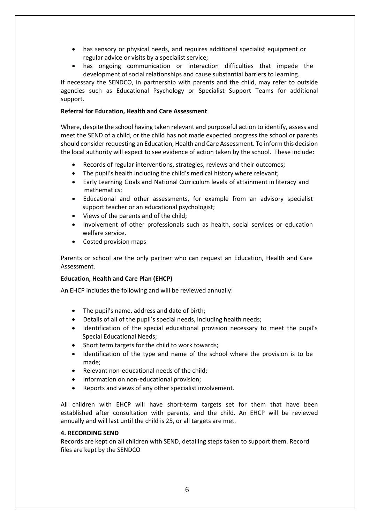- has sensory or physical needs, and requires additional specialist equipment or regular advice or visits by a specialist service;
- has ongoing communication or interaction difficulties that impede the development of social relationships and cause substantial barriers to learning.

If necessary the SENDCO, in partnership with parents and the child, may refer to outside agencies such as Educational Psychology or Specialist Support Teams for additional support.

# **Referral for Education, Health and Care Assessment**

Where, despite the school having taken relevant and purposeful action to identify, assess and meet the SEND of a child, or the child has not made expected progress the school or parents should consider requesting an Education, Health and Care Assessment. To inform this decision the local authority will expect to see evidence of action taken by the school. These include:

- Records of regular interventions, strategies, reviews and their outcomes;
- The pupil's health including the child's medical history where relevant;
- Early Learning Goals and National Curriculum levels of attainment in literacy and mathematics;
- Educational and other assessments, for example from an advisory specialist support teacher or an educational psychologist;
- Views of the parents and of the child;
- Involvement of other professionals such as health, social services or education welfare service.
- Costed provision maps

Parents or school are the only partner who can request an Education, Health and Care Assessment.

## **Education, Health and Care Plan (EHCP)**

An EHCP includes the following and will be reviewed annually:

- The pupil's name, address and date of birth;
- Details of all of the pupil's special needs, including health needs;
- Identification of the special educational provision necessary to meet the pupil's Special Educational Needs;
- Short term targets for the child to work towards;
- Identification of the type and name of the school where the provision is to be made;
- Relevant non-educational needs of the child;
- Information on non-educational provision;
- Reports and views of any other specialist involvement.

All children with EHCP will have short-term targets set for them that have been established after consultation with parents, and the child. An EHCP will be reviewed annually and will last until the child is 25, or all targets are met.

## **4. RECORDING SEND**

Records are kept on all children with SEND, detailing steps taken to support them. Record files are kept by the SENDCO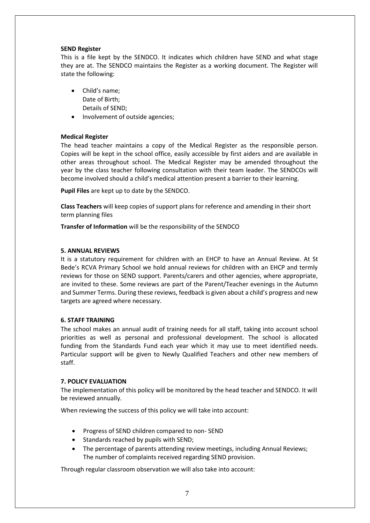### **SEND Register**

This is a file kept by the SENDCO. It indicates which children have SEND and what stage they are at. The SENDCO maintains the Register as a working document. The Register will state the following:

- Child's name; Date of Birth; Details of SEND;
- Involvement of outside agencies;

## **Medical Register**

The head teacher maintains a copy of the Medical Register as the responsible person. Copies will be kept in the school office, easily accessible by first aiders and are available in other areas throughout school. The Medical Register may be amended throughout the year by the class teacher following consultation with their team leader. The SENDCOs will become involved should a child's medical attention present a barrier to their learning.

**Pupil Files** are kept up to date by the SENDCO.

**Class Teachers** will keep copies of support plans for reference and amending in their short term planning files

**Transfer of Information** will be the responsibility of the SENDCO

#### **5. ANNUAL REVIEWS**

It is a statutory requirement for children with an EHCP to have an Annual Review. At St Bede's RCVA Primary School we hold annual reviews for children with an EHCP and termly reviews for those on SEND support. Parents/carers and other agencies, where appropriate, are invited to these. Some reviews are part of the Parent/Teacher evenings in the Autumn and Summer Terms. During these reviews, feedback is given about a child's progress and new targets are agreed where necessary.

## **6. STAFF TRAINING**

The school makes an annual audit of training needs for all staff, taking into account school priorities as well as personal and professional development. The school is allocated funding from the Standards Fund each year which it may use to meet identified needs. Particular support will be given to Newly Qualified Teachers and other new members of staff.

## **7. POLICY EVALUATION**

The implementation of this policy will be monitored by the head teacher and SENDCO. It will be reviewed annually.

When reviewing the success of this policy we will take into account:

- Progress of SEND children compared to non- SEND
- Standards reached by pupils with SEND;
- The percentage of parents attending review meetings, including Annual Reviews; The number of complaints received regarding SEND provision.

Through regular classroom observation we will also take into account: